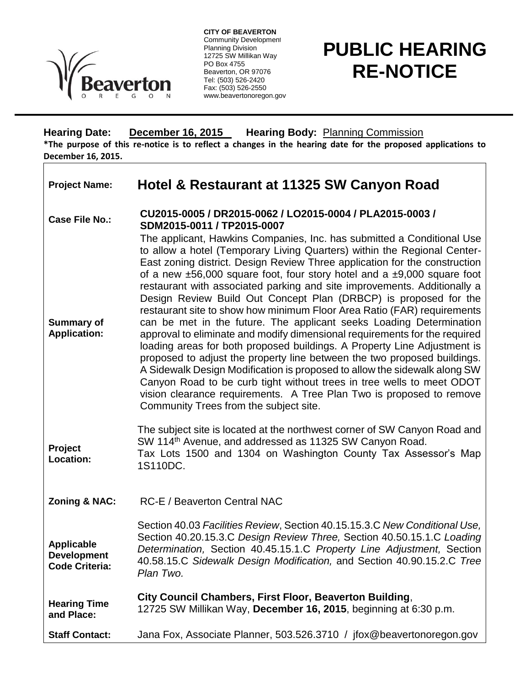

**CITY OF BEAVERTON** Community Development Planning Division 12725 SW Millikan Way PO Box 4755 Beaverton, OR 97076 Tel: (503) 526-2420 Fax: (503) 526-2550 www.beavertonoregon.gov

## **PUBLIC HEARING RE-NOTICE**

**Hearing Date: December 16, 2015 Hearing Body:** Planning Commission **\*The purpose of this re-notice is to reflect a changes in the hearing date for the proposed applications to December 16, 2015.**

| <b>Project Name:</b>                                              | Hotel & Restaurant at 11325 SW Canyon Road                                                                                                                                                                                                                                                                                                                                                                                                                                                                                                                                                                                                                                                                                                                                                                                                                                                                                                                                                                                                                                                                                                                                                                                      |
|-------------------------------------------------------------------|---------------------------------------------------------------------------------------------------------------------------------------------------------------------------------------------------------------------------------------------------------------------------------------------------------------------------------------------------------------------------------------------------------------------------------------------------------------------------------------------------------------------------------------------------------------------------------------------------------------------------------------------------------------------------------------------------------------------------------------------------------------------------------------------------------------------------------------------------------------------------------------------------------------------------------------------------------------------------------------------------------------------------------------------------------------------------------------------------------------------------------------------------------------------------------------------------------------------------------|
| <b>Case File No.:</b><br><b>Summary of</b><br><b>Application:</b> | CU2015-0005 / DR2015-0062 / LO2015-0004 / PLA2015-0003 /<br>SDM2015-0011 / TP2015-0007<br>The applicant, Hawkins Companies, Inc. has submitted a Conditional Use<br>to allow a hotel (Temporary Living Quarters) within the Regional Center-<br>East zoning district. Design Review Three application for the construction<br>of a new $\pm 56,000$ square foot, four story hotel and a $\pm 9,000$ square foot<br>restaurant with associated parking and site improvements. Additionally a<br>Design Review Build Out Concept Plan (DRBCP) is proposed for the<br>restaurant site to show how minimum Floor Area Ratio (FAR) requirements<br>can be met in the future. The applicant seeks Loading Determination<br>approval to eliminate and modify dimensional requirements for the required<br>loading areas for both proposed buildings. A Property Line Adjustment is<br>proposed to adjust the property line between the two proposed buildings.<br>A Sidewalk Design Modification is proposed to allow the sidewalk along SW<br>Canyon Road to be curb tight without trees in tree wells to meet ODOT<br>vision clearance requirements. A Tree Plan Two is proposed to remove<br>Community Trees from the subject site. |
| Project<br>Location:                                              | The subject site is located at the northwest corner of SW Canyon Road and<br>SW 114 <sup>th</sup> Avenue, and addressed as 11325 SW Canyon Road.<br>Tax Lots 1500 and 1304 on Washington County Tax Assessor's Map<br>1S110DC.                                                                                                                                                                                                                                                                                                                                                                                                                                                                                                                                                                                                                                                                                                                                                                                                                                                                                                                                                                                                  |
| Zoning & NAC:                                                     | <b>RC-E / Beaverton Central NAC</b>                                                                                                                                                                                                                                                                                                                                                                                                                                                                                                                                                                                                                                                                                                                                                                                                                                                                                                                                                                                                                                                                                                                                                                                             |
| <b>Applicable</b><br><b>Development</b><br><b>Code Criteria:</b>  | Section 40.03 Facilities Review, Section 40.15.15.3.C New Conditional Use,<br>Section 40.20.15.3.C Design Review Three, Section 40.50.15.1.C Loading<br>Determination, Section 40.45.15.1.C Property Line Adjustment, Section<br>40.58.15.C Sidewalk Design Modification, and Section 40.90.15.2.C Tree<br>Plan Two.                                                                                                                                                                                                                                                                                                                                                                                                                                                                                                                                                                                                                                                                                                                                                                                                                                                                                                            |
| <b>Hearing Time</b><br>and Place:                                 | City Council Chambers, First Floor, Beaverton Building,<br>12725 SW Millikan Way, December 16, 2015, beginning at 6:30 p.m.                                                                                                                                                                                                                                                                                                                                                                                                                                                                                                                                                                                                                                                                                                                                                                                                                                                                                                                                                                                                                                                                                                     |
| <b>Staff Contact:</b>                                             | Jana Fox, Associate Planner, 503.526.3710 / jfox@beavertonoregon.gov                                                                                                                                                                                                                                                                                                                                                                                                                                                                                                                                                                                                                                                                                                                                                                                                                                                                                                                                                                                                                                                                                                                                                            |